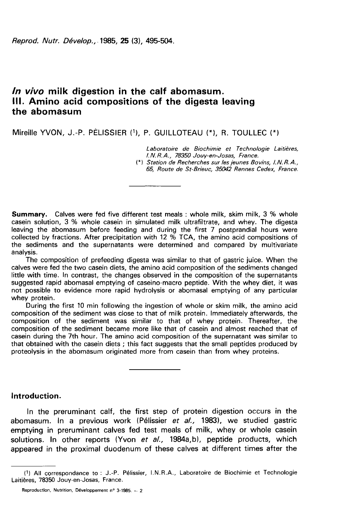# In vivo milk digestion in the calf abomasum. III. Amino acid compositions of the digesta leaving the abomasum

Mireille YVON, J.-P. PÉLISSIER (1), P. GUILLOTEAU (\*), R. TOULLEC (\*)

Laboratoire de Biochimie et Technologie Laitières, l. N. R. A., 78350 Jouy-en-Josas, France.

(\*) Station de Recherches sur les jeunes Bovins, I.N.R.A., 65, Route de St-Brieuc, 35042 Rennes Cedex, France.

Summary. Calves were fed five different test meals : whole milk, skim milk, 3 % whole casein solution, 3 % whole casein in simulated milk ultrafiltrate, and whey. The digesta leaving the abomasum before feeding and during the first 7 postprandial hours were collected by fractions. After precipitation with 12 % TCA, the amino acid compositions of the sediments and the supernatants were determined and compared by multivariate analysis.

The composition of prefeeding digesta was similar to that of gastric juice. When the calves were fed the two casein diets, the amino acid composition of the sediments changed little with time. In contrast, the changes observed in the composition of the supernatants suggested rapid abomasal emptying of caseino-macro peptide. With the whey diet, it was not possible to evidence more rapid hydrolysis or abomasal emptying of any particular whey protein.

During the first 10 min following the ingestion of whole or skim milk, the amino acid composition of the sediment was close to that of milk protein. Immediately afterwards, the composition of the sediment was similar to that of whey protein. Thereafter, the composition of the sediment became more like that of casein and almost reached that of casein during the 7th hour. The amino acid composition of the supernatant was similar to that obtained with the casein diets ; this fact suggests that the small peptides produced by proteolysis in the abomasum originated more from casein than from whey proteins.

# Introduction.

In the preruminant calf, the first step of protein digestion occurs in the abomasum. In a previous work (Pélissier et al., 1983), we studied gastric emptying in preruminant calves fed test meals of milk, whey or whole casein solutions. In other reports (Yvon et al., 1984a,b), peptide products, which appeared in the proximal duodenum of these calves at different times after the

<sup>(1)</sup> All correspondance to : J.-P. P61issier, I.N.R.A., Laboratoire de Biochimie et Technologie Laitibres, 78350 Jouy-en-Josas, France.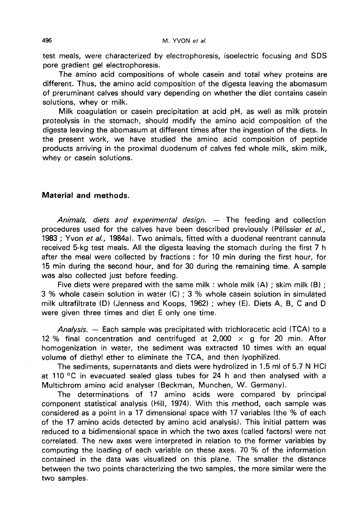test meals, were characterized by electrophoresis, isoelectric focusing and SDS pore gradient gel electrophoresis.

The amino acid compositions of whole casein and total whey proteins are different. Thus, the amino acid composition of the digesta leaving the abomasum of preruminant calves should vary depending on whether the diet contains casein solutions, whey or milk.

Milk coagulation or casein precipitation at acid pH, as well as milk protein proteolysis in the stomach, should modify the amino acid composition of the digesta leaving the abomasum at different times after the ingestion of the diets. In the present work, we have studied the amino acid composition of peptide products arriving in the proximal duodenum of calves fed whole milk, skim milk, whey or casein solutions.

# Material and methods.

Animals, diets and experimental design.  $-$  The feeding and collection procedures used for the calves have been described previously (Pélissier et al., 1983 ; Yvon et al., 1984a). Two animals, fitted with a duodenal reentrant cannula received 5-kg test meals. All the digesta leaving the stomach during the first 7 h after the meal were collected by fractions : for 10 min during the first hour, for 15 min during the second hour, and for 30 during the remaining time. A sample was also collected just before feeding.

Five diets were prepared with the same milk : whole milk (A) ; skim milk (B) ; 3 % whole casein solution in water (C) ; 3 % whole casein solution in simulated milk ultrafiltrate (D) (Jenness and Koops, 1962) ; whey (E). Diets A, B, C and D were given three times and diet E only one time.

Analysis.  $-$  Each sample was precipitated with trichloracetic acid (TCA) to a 12 % final concentration and centrifuged at 2,000  $\times$  g for 20 min. After homogenization in water, the sediment was extracted 10 times with an equal volume of diethyl ether to eliminate the TCA, and then lyophilized.

The sediments, supernatants and diets were hydrolized in 1.5 ml of 5.7 N HCI at 110 °C in evacuated sealed glass tubes for 24 h and then analysed with a Multichrom amino acid analyser (Beckman, Munchen, W. Germany).

The determinations of 17 amino acids were compared by principal component statistical analysis (Hill, 1974). With this method, each sample was considered as a point in a 17 dimensional space with 17 variables (the % of each of the 17 amino acids detected by amino acid analysis). This initial pattern was reduced to a bidimensional space in which the two axes (called factors) were not correlated. The new axes were interpreted in relation to the former variables by computing the loading of each variable on these axes. 70 % of the information contained in the data was visualized on this plane. The smaller the distance between the two points characterizing the two samples, the more similar were the two samples.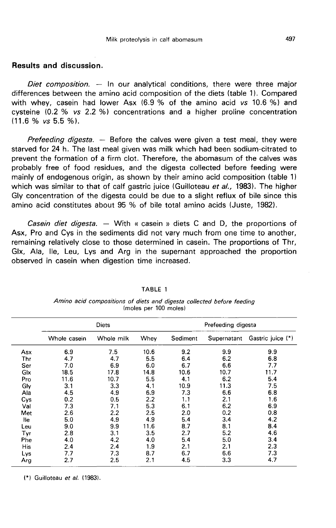### Results and discussion.

Diet composition.  $-$  In our analytical conditions, there were three major differences between the amino acid composition of the diets (table 11. Compared with whey, casein had lower Asx (6.9 % of the amino acid vs 10.6 %) and cysteine (0.2 % vs 2.2 %) concentrations and a higher proline concentration (11.6 % vs 5.5 %).

Prefeeding digesta. — Before the calves were given a test meal, they were starved for 24 h. The last meal given was milk which had been sodium-citrated to prevent the formation of a firm clot. Therefore, the abomasum of the calves was probably free of food residues, and the digesta collected before feeding were mainly of endogenous origin, as shown by their amino acid composition (table 1) which was similar to that of calf gastric juice (Guilloteau et al., 1983). The higher Gly concentration of the digesta could be due to a slight reflux of bile since this amino acid constitutes about 95 % of bile total amino acids (Juste, 1982).

Casein diet digesta.  $-$  With « casein » diets C and D, the proportions of Asx, Pro and Cys in the sediments did not vary much from one time to another, remaining relatively close to those determined in casein. The proportions of Thr, Glx, Ala, Ile, Leu, Lys and Arg in the supernant approached the proportion observed in casein when digestion time increased.

|     |              | <b>Diets</b> |      | Prefeeding digesta |             |                   |  |  |  |
|-----|--------------|--------------|------|--------------------|-------------|-------------------|--|--|--|
|     | Whole casein | Whole milk   | Whey | Sediment           | Supernatant | Gastric juice (*) |  |  |  |
| Asx | 6.9          | 7.5          | 10.6 | 9.2                | 9.9         | 9.9               |  |  |  |
| Thr | 4.7          | 4.7          | 5.5  | 6.4                | 6.2         | 6.8               |  |  |  |
| Ser | 7.0          | 6.9          | 6.0  | 6.7                | 6.6         | 7.7               |  |  |  |
| Glx | 18.5         | 17.8         | 14.8 | 10.6               | 10.7        | 11.7              |  |  |  |
| Pro | 11.6         | 10.7         | 5.5  | 4.1                | 6.2         | 5.4               |  |  |  |
| Gly | 3.1          | 3.3          | 4.1  | 10.9               | 11.3        | 7.5               |  |  |  |
| Ala | 4.5          | 4.9          | 6.9  | 7.3                | 6.6         | 6.8               |  |  |  |
| Cys | 0.2          | 0.5          | 2.2  | 1.1                | 2.1         | 1.6               |  |  |  |
| Val | 7.3          | 7.1          | 5.3  | 6.1                | 6.2         | 6.9               |  |  |  |
| Met | 2.6          | 2.2          | 2.5  | 2.0                | 0.2         | 0.8               |  |  |  |
| lle | 5.0          | 4.9          | 4.9  | 5.4                | 3.4         | 4.2               |  |  |  |
| Leu | 9.0          | 9.9          | 11.6 | 8.7                | 8.1         | 8.4               |  |  |  |
| Tyr | 2.8          | 3.1          | 3.5  | 2.7                | 5.2         | 4.6               |  |  |  |
| Phe | 4.0          | 4.2          | 4.0  | 5.4                | 5.0         | 3.4               |  |  |  |
| His | 2.4          | 2.4          | 1.9  | 2.1                | 2.1         | 2.3               |  |  |  |
| Lys | 7.7          | 7.3          | 8.7  | 6.7                | 6.6         | 7.3               |  |  |  |
| Arg | 2.7          | 2.5          | 2.1  | 4.5                | 3.3         | 4.7               |  |  |  |

#### TABLE 1

Amino acid compositions of diets and digesta collected before feeding (moles per 100 moles)

 $(*)$  Guilloteau et al.  $(1983)$ .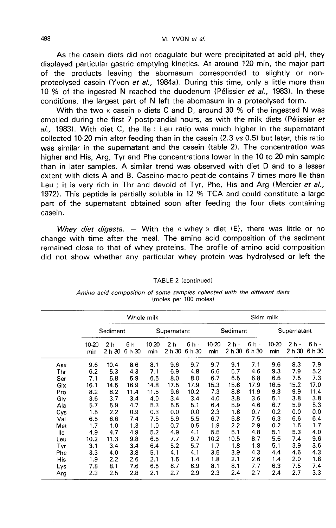As the casein diets did not coagulate but were precipitated at acid pH, they displayed particular gastric emptying kinetics. At around 120 min, the major part of the products leaving the abomasum corresponded to slightly or nonproteolysed casein (Yvon et al., 1984a). During this time, only a little more than 10 % of the ingested N reached the duodenum (Pélissier et al., 1983). In these conditions, the largest part of N left the abomasum in a proteolysed form.

With the two « casein » diets C and D, around 30 % of the ingested N was emptied during the first  $7$  postprandial hours, as with the milk diets (Pélissier  $et$  $a$ ., 1983). With diet C, the Ile : Leu ratio was much higher in the supernatant collected 10-20 min after feeding than in the casein (2.3 vs 0.5) but later, this ratio was similar in the supernatant and the casein (table 2). The concentration was higher and His, Arg, Tyr and Phe concentrations lower in the 10 to 20-min sample than in later samples. A similar trend was observed with diet D and to a lesser extent with diets A and B. Caseino-macro peptide contains 7 times more Ile than Leu ; it is very rich in Thr and devoid of Tyr, Phe, His and Arg (Mercier et al., 1972). This peptide is partially soluble in 12 % TCA and could constitute a large part of the supernatant obtained soon after feeding the four diets containing casein.

Whey diet digesta.  $-$  With the « whey » diet (E), there was little or no change with time after the meal. The amino acid composition of the sediment remained close to that of whey proteins. The profile of amino acid composition did not show whether any particular whey protein was hydrolysed or left the

#### TABLE 2 (continued)

|     | Whole milk   |                          |                  |              |                        | Skim milk        |              |                        |                  |              |                  |                  |
|-----|--------------|--------------------------|------------------|--------------|------------------------|------------------|--------------|------------------------|------------------|--------------|------------------|------------------|
|     | Sediment     |                          |                  | Supernatant  |                        |                  | Sediment     |                        |                  | Supernatant  |                  |                  |
|     | 10-20<br>min | 2 <sub>h</sub><br>2 h 30 | $6h -$<br>6 h 30 | 10-20<br>min | 2 <sub>h</sub><br>2h30 | $6h -$<br>6 h 30 | 10-20<br>min | 2 <sub>h</sub><br>2h30 | $6h -$<br>6 h 30 | 10-20<br>min | $2h$ -<br>2 h 30 | $6h -$<br>6 h 30 |
| Asx | 9.6          | 10.4                     | 8.6              | 8.1          | 9.6                    | 9.7              | 9.7          | 9.1                    | 7.1              | 9.6          | 8.3              | 7.9              |
| Thr | 6.2          | 5.3                      | 4.3              | 7.1          | 6.9                    | 4.8              | 6.6          | 5.7                    | 4.6              | 9.3          | 7.9              | 5.2              |
| Ser | 7.1          | 5.8                      | 5.9              | 6.5          | 8.0                    | 8.0              | 6.7          | 6.5                    | 6.8              | 6.5          | 7.5              | 7.3              |
| Gix | 16.1         | 14.5                     | 16.9             | 14.8         | 17.5                   | 17.9             | 15.3         | 15.6                   | 17.9             | 16.5         | 15.2             | 17.0             |
| Pro | 8.2          | 8.2                      | 11.4             | 11.5         | 9.6                    | 10.2             | 7.3          | 8.8                    | 11.9             | 9.3          | 9.9              | 11.4             |
| Gly | 3.6          | 3.7                      | 3.4              | 4.0          | 3.4                    | 3.4              | 4.0          | 3.8                    | 3.6              | 5.1          | 3.8              | 3.8              |
| Ala | 5.7          | 5.9                      | 4.7              | 5.3          | 5.5                    | 5.1              | 6.4          | 5.9                    | 4.6              | 6.7          | 5.9              | 5.3              |
| Cys | 1.5          | 2.2                      | 0.9              | 0.3          | 0.0                    | 0.0              | 2.3          | 1.8                    | 0.7              | 0.2          | 0.0              | 0.0              |
| Val | 6.5          | 6.6                      | 7.4              | 7.5          | 5.9                    | 5.5              | 6.7          | 6.8                    | 7.5              | 6.3          | 6.6              | 6.4              |
| Met | 1.7          | 10                       | 1.3              | 1.0          | 0.7                    | 0.5              | 1.9          | 2.2                    | 2.9              | 0.2          | 1.6              | 1.7              |
| lle | 4.9          | 4.7                      | 4.9              | 5.2          | 4.9                    | 4.1              | 5.5          | 5.1                    | 4.8              | 5.1          | 5.3              | 4.0              |
| Leu | 10.2         | 11.3                     | 9.8              | 6.5          | 7.7                    | 9.7              | 10.2         | 10.5                   | 8.7              | 5.5          | 7.4              | 9.6              |
| Tyr | 3.1          | 3.4                      | 3.4              | 6.4          | 5.2                    | 5.7              | 1.7          | 1.8                    | 1.8              | 5.1          | 3.9              | 3.6              |
| Phe | 3.3          | 4.0                      | 3.8              | 5.1          | 4.1                    | 4.1              | 3.5          | 3.9                    | 4.3              | 4.4          | 4.6              | 4.3              |
| His | 1.9          | 2.2                      | 2.6              | 2.1          | 1.5                    | 1.4              | 1.8          | 2.1                    | 2.6              | 1.4          | 2.0              | 1.8              |
| Lys | 7.8          | 8.1                      | 7.6              | 6.5          | 6.7                    | 6.9              | 8.1          | 8.1                    | 7.7              | 6.3          | 7.5              | 7.4              |
| Arg | 2.3          | 2.5                      | 2.8              | 2.1          | 2.7                    | 2.9              | 2.3          | 2.4                    | 2.7              | 2.4          | 2.7              | 3.3              |

Amino acid composition of some samples collected with the different diets (moles per 100 moles)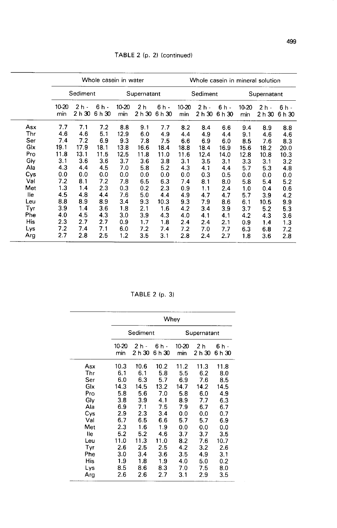|     | Whole casein in water |                          |                  |              |               |                  | Whole casein in mineral solution |                          |                  |              |                          |                  |
|-----|-----------------------|--------------------------|------------------|--------------|---------------|------------------|----------------------------------|--------------------------|------------------|--------------|--------------------------|------------------|
|     | Sediment              |                          | Supernatant      |              | Sediment      |                  |                                  | Supernatant              |                  |              |                          |                  |
|     | 10-20<br>min          | 2 <sub>h</sub><br>2 h 30 | $6h -$<br>6 h 30 | 10-20<br>min | 2 h<br>2 h 30 | $6h -$<br>6 h 30 | $10 - 20$<br>min                 | 2 <sub>h</sub><br>2 h 30 | $6h -$<br>6 h 30 | 10-20<br>min | 2 <sub>h</sub><br>2 h 30 | $6h -$<br>6 h 30 |
| Asx | 7.7                   | 7.1                      | 7.2              | 8.8          | 9.1           | 7.7              | 8.2                              | 8.4                      | 6.6              | 9.4          | 8.9                      | 8.8              |
| Thr | 4.6                   | 4.6                      | 5.1              | 12.9         | 6.0           | 4.9              | 4.4                              | 4.9                      | 4.4              | 9.1          | 4.6                      | 4.6              |
| Ser | 7.4                   | 7.2                      | 6.9              | 9.3          | 7.8           | 7.5              | 6.6                              | 6.9                      | 6.0              | 8.5          | 7.6                      | 8.3              |
| Glx | 19.1                  | 17.9                     | 18.1             | 13.8         | 16.6          | 18.4             | 18.8                             | 18.4                     | 16.9             | 15.6         | 18.2                     | 20.0             |
| Pro | 11.8                  | 13.1                     | 11.5             | 12.5         | 11.8          | 11.0             | 11.6                             | 12.4                     | 14.0             | 12.8         | 10.8                     | 10.3             |
| Gly | 3.1                   | 3.6                      | 3.6              | 3.7          | 3.6           | 3.8              | 3.1                              | 3.5                      | 3.1              | 3.3          | 3.1                      | 3.2              |
| Ala | 4.3                   | 4.4                      | 4.5              | 7.0          | 5.8           | 5.2              | 4.3                              | 4.1                      | 4.4              | 5.7          | 5.3                      | 4.8              |
| Cys | 0.0                   | 0.0                      | 0,0              | 0.0          | 0.0           | 0.0              | 0.0                              | 0.3                      | 0.5              | 0.0          | 0.0                      | 0.0              |
| Val | 7.2                   | 8.1                      | 7.2              | 7.8          | 6.5           | 6.3              | 7.4                              | 8.1                      | 8.0              | 5.8          | 5.4                      | 5.2              |
| Met | 1.3                   | 1.4                      | 2.3              | 0.3          | 0.2           | 2.3              | 0.9                              | 1.1                      | 2.4              | 1.0          | 0.4                      | 0.6              |
| lle | 4.5                   | 4.8                      | 4.4              | 7.6          | 5.0           | 44               | 4.9                              | 4.7                      | 4.7              | 5.7          | 3.9                      | 4.2              |
| Leu | 8.8                   | 8.9                      | 8.9              | 3.4          | 9.3           | 10.3             | 9.3                              | 7.9                      | 8.6              | 6.1          | 10.5                     | 9.9              |
| Tyr | 3.9                   | 1.4                      | 3.6              | 1.8          | 2.1           | 1.6              | 4.2                              | 3.4                      | 3.9              | 3.7          | 5.2                      | 5.3              |
| Phe | 4.0                   | 4.5                      | 4.3              | 3.0          | 3.9           | 4.3              | 4.0                              | 4.1                      | 4.1              | 4.2          | 4.3                      | 3.6              |
| His | 2.3                   | 2.7                      | 2.7              | 0.9          | 1.7           | 1.8              | 2.4                              | 2.4                      | 2.1              | 0.9          | 1.4                      | 1.3              |
| Lys | 7.2                   | 7.4                      | 7.1              | 6.0          | 7.2           | 7.4              | 7.2                              | 7.0                      | 7.7              | 6.3          | 6.8                      | 7.2              |
| Arg | 2.7                   | 2.8                      | 2.5              | 1.2          | 3.5           | 3.1              | 2.8                              | 2.4                      | 2.7              | 1.8          | 3.6                      | 2.8              |

l,

TABLE 2 (p. 2) (continued)

TABLE 2 (p. 3)

|     | Whey         |                  |                  |              |               |                 |  |  |  |  |
|-----|--------------|------------------|------------------|--------------|---------------|-----------------|--|--|--|--|
|     |              | Sediment         |                  | Supernatant  |               |                 |  |  |  |  |
|     | 10-20<br>min | $2h$ -<br>2 h 30 | $6h -$<br>6 h 30 | 10-20<br>min | 2 h<br>2 h 30 | 6 h -<br>6 h 30 |  |  |  |  |
| Asx | 10.3         | 10.6             | 10.2             | 11.2         | 11.3          | 11.8            |  |  |  |  |
| Thr | 6.1          | 6.1              | 5.8              | 5.5          | 6.2           | 8.0             |  |  |  |  |
| Ser | 6.0          | 6.3              | 5.7              | 6.9          | 7.6           | 8.5             |  |  |  |  |
| Glx | 14.3         | 14.5             | 13.2             | 14.7         | 14.2          | 14.5            |  |  |  |  |
| Pro | 5.8          | 5.6              | 7.0              | 5.8          | 6.0           | 4.9             |  |  |  |  |
| Gly | 3.8          | 3.9              | 4.1              | 8.9          | 7.7           | 6.3             |  |  |  |  |
| Ala | 6.9          | 7.1              | 7.5              | 7.9          | 6.7           | 6.7             |  |  |  |  |
| Cys | 2.9          | 2.3              | 3.4              | 0.0          | 0.0           | 0.7             |  |  |  |  |
| Val | 6.7          | 6.5              | 6.6              | 57           | 5.7           | 6.9             |  |  |  |  |
| Met | 2.3          | 1.6              | 1.9              | 0.0          | 0.0           | 0.0             |  |  |  |  |
| lle | 5.2          | 5.2              | 4.6              | 3.7          | 37            | 3.5             |  |  |  |  |
| Leu | 11.0         | 11.3             | 11.0             | 8.2          | 7.6           | 10.7            |  |  |  |  |
| Tyr | 2.6          | 2.5              | 2.5              | 4.2          | 3.2           | 2.6             |  |  |  |  |
| Phe | 3.0          | 3.4              | 3.6              | 3.5          | 4.9           | 3.1             |  |  |  |  |
| His | 1.9          | 1.8              | 1.9              | 4.0          | 5.0           | 0.2             |  |  |  |  |
| Lys | 8.5          | 8.6              | 8.3              | 7.0          | 7.5           | 8.0             |  |  |  |  |
| Ara | 2.6          | 2.6              | 2.7              | 3.1          | 2.9           | 3.5             |  |  |  |  |

l,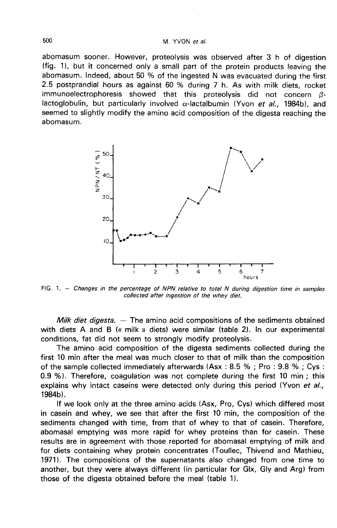#### M. YVON et al.

abomasum sooner. However, proteolysis was observed after 3 h of digestion (fig. 1), but it concerned only a small part of the protein products leaving the abomasum. Indeed, about 50 % of the ingested N was evacuated during the first 2.5 postprandial hours as against 60 % during 7 h. As with milk diets, rocket immunoelectrophoresis showed that this proteolysis did not concern  $\beta$ lactoglobulin, but particularly involved  $\alpha$ -lactalbumin (Yvon et al., 1984b), and seemed to slightly modify the amino acid composition of the digesta reaching the abomasum.



FIG. 1. - Changes in the percentage of NPN relative to total N during digestion time in samples collected after ingestion of the whey diet.

Milk diet digesta.  $-$  The amino acid compositions of the sediments obtained with diets A and B (« milk » diets) were similar (table 2). In our experimental conditions, fat did not seem to strongly modify proteolysis.

The amino acid composition of the digesta sediments collected during the first 10 min after the meal was much closer to that of milk than the composition of the sample collected immediately afterwards (Asx : 8.5 % ; Pro : 9.8 % ; Cys : 0.9 %). Therefore, coagulation was not complete during the first 10 min ; this explains why intact caseins were detected only during this period (Yvon et al., 1984b).

If we look only at the three amino acids (Asx, Pro, Cys) which differed most in casein and whey, we see that after the first 10 min, the composition of the sediments changed with time, from that of whey to that of casein. Therefore, abomasal emptying was more rapid for whey proteins than for casein. These results are in agreement with those reported for abomasal emptying of milk and for diets containing whey protein concentrates (Toullec, Thivend and Mathieu, 1971). The compositions of the supernatants also changed from one time to another, but they were always different (in particular for Glx, Gly and Arg) from those of the digesta obtained before the meal (table 1).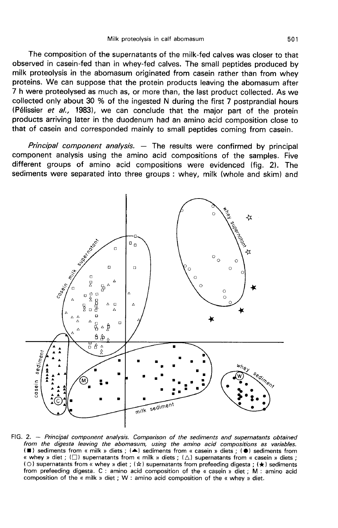The composition of the supernatants of the milk-fed calves was closer to that observed in casein-fed than in whey-fed calves. The small peptides produced by milk proteolysis in the abomasum originated from casein rather than from whey proteins. We can suppose that the protein products leaving the abomasum after 7 h were proteolysed as much as, or more than, the last product collected. As we collected only about 30 % of the ingested N during the first 7 postprandial hours (P61issier et al., 1983), we can conclude that the major part of the protein products arriving later in the duodenum had an amino acid composition close to that of casein and corresponded mainly to small peptides coming from casein.

Principal component analysis.  $-$  The results were confirmed by principal component analysis using the amino acid compositions of the samples. Five different groups of amino acid compositions were evidenced (fig. 2). The sediments were separated into three groups : whey, milk (whole and skim) and



FIG. 2. - Principal component analysis. Comparison of the sediments and supernatants obtained from the digesta leaving the abomasum, using the amino acid compositions as variables. (I) sediments from « milk » diets ; (A) sediments from « casein » diets ; ( $\bullet$ ) sediments from « whey » diet ;  $(\Box)$  supernatants from « milk » diets ;  $(\triangle)$  supernatants from « casein » diets ; (O) supernatants from « whey » diet ; ( $\hat{x}$ ) supernatants from prefeeding digesta ; ( $\star$ ) sediments from prefeeding digesta. C: amino acid composition of the « casein » diet ; M : amino acid composition of the « milk » diet ; W : amino acid composition of the « whey » diet.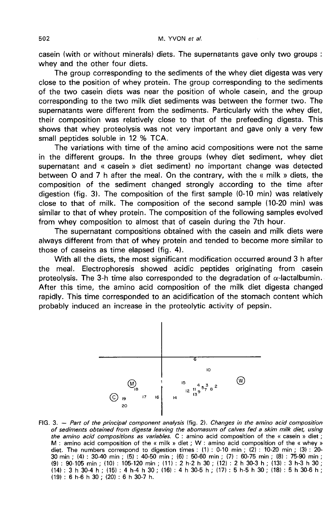casein (with or without minerals) diets. The supernatants gave only two groups : whey and the other four diets.

The group corresponding to the sediments of the whey diet digesta was very close to the position of whey protein. The group corresponding to the sediments of the two casein diets was near the position of whole casein, and the group corresponding to the two milk diet sediments was between the former two. The supernatants were different from the sediments. Particularly with the whey diet, their composition was relatively close to that of the prefeeding digesta. This shows that whey proteolysis was not very important and gave only a very few small peptides soluble in 12 % TCA.

The variations with time of the amino acid compositions were not the same in the different groups. In the three groups (whey diet sediment, whey diet supernatant and « casein » diet sediment) no important change was detected between 0 and 7 h after the meal. On the contrary, with the « milk » diets, the composition of the sediment changed strongly according to the time after digestion (fig. 3). The composition of the first sample (0-10 min) was relatively close to that of milk. The composition of the second sample (10-20 min) was similar to that of whey protein. The composition of the following samples evolved from whey composition to almost that of casein during the 7th hour.

The supernatant compositions obtained with the casein and milk diets were always different from that of whey protein and tended to become more similar to those of caseins as time elapsed (fig. 4).

With all the diets, the most significant modification occurred around 3 h after the meal. Electrophoresis showed acidic peptides originating from casein proteolysis. The 3-h time also corresponded to the degradation of  $\alpha$ -lactalbumin. After this time, the amino acid composition of the milk diet digesta changed rapidly. This time corresponded to an acidification of the stomach content which probably induced an increase in the proteolytic activity of pepsin.



FIG. 3.  $-$  Part of the principal component analysis (fig. 2). Changes in the amino acid composition of sediments obtained from digesta leaving the abomasum of calves fed a skim milk diet, using the amino acid compositions as variables. C : amino acid composition of the « casein » diet; M: amino acid composition of the « milk » diet; W: amino acid composition of the « whey » diet. The numbers correspond to digestion times :  $(1)$  : 0-10 min ;  $(2)$  : 10-20 min ;  $(3)$  : 20-30 min; (4): 30-40 min; (5): 40-50 min; (6): 50-60 min; (7): 60-75 min; (8): 75-90 min; (9) : 90-105 min ; (10) : 105-120 min ; (11) : 2 h-2 h 30 ; (12) : 2 h 30-3 h ; (13) : 3 h-3 h 30 ;  $(14):$  3 h 30-4 h;  $(15):$  4 h-4 h 30;  $(16):$  4 h 30-5 h;  $(17):$  5 h-5 h 30;  $(18):$  5 h 30-6 h;  $(19): 6 h-6 h 30$ ;  $(20): 6 h 30-7 h$ .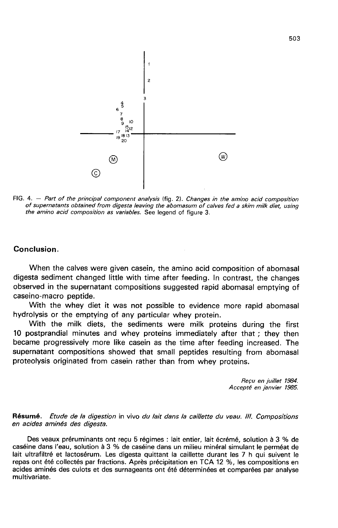

FIG. 4. - Part of the principal component analysis (fig. 2). Changes in the amino acid composition of supernatants obtained from digesta leaving the abomasum of calves fed a skim milk diet, using the amino acid composition as variables. See legend of figure 3.

## Conclusion.

When the calves were given casein, the amino acid composition of abomasal digesta sediment changed little with time after feeding. In contrast, the changes observed in the supernatant compositions suggested rapid abomasal emptying of caseino-macro peptide.

With the whey diet it was not possible to evidence more rapid abomasal hydrolysis or the emptying of any particular whey protein.

With the milk diets, the sediments were milk proteins during the first 10 postprandial minutes and whey proteins immediately after that ; they then became progressively more like casein as the time after feeding increased. The supernatant compositions showed that small peptides resulting from abomasal proteolysis originated from casein rather than from whey proteins.

Reçu en juillet 1984.<br>Accepté en janvier 1985.

Résumé. Etude de la digestion in vivo du lait dans la caillette du veau. III. Compositions en acides aminés des digesta.

Des veaux préruminants ont reçu 5 régimes : lait entier, lait écrémé, solution à 3 % de caséine dans l'eau, solution à 3 % de caséine dans un milieu minéral simulant le perméat de lait ultrafiltré et lactosérum. Les digesta quittant la caillette durant les 7 h qui suivent le repas ont été collectés par fractions. Après précipitation en TCA 12 %, les compositions en acides aminés des culots et des surnageants ont été déterminées et comparées par analyse multivariate.